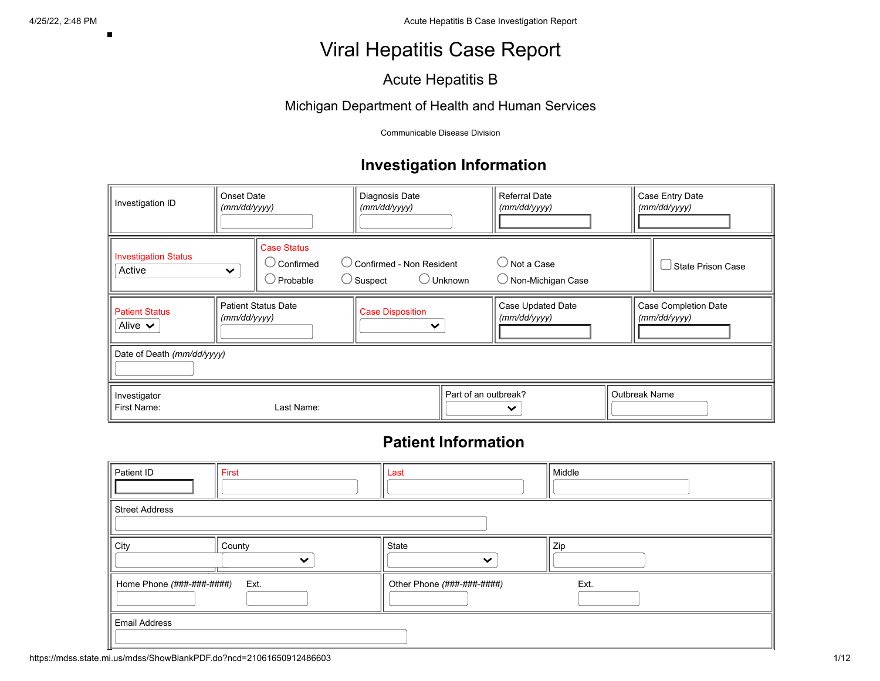# Viral Hepatitis Case Report

#### Acute Hepatitis B

#### Michigan Department of Health and Human Services

Communicable Disease Division

### **Investigation Information**

| Investigation ID                      | Onset Date<br>(mm/dd/yyyy)                                               | Diagnosis Date<br>(mm/dd/yyyy)                                   | <b>Referral Date</b><br>(mm/dd/yyyy) | Case Entry Date<br>(mm/dd/yyyy)      |  |
|---------------------------------------|--------------------------------------------------------------------------|------------------------------------------------------------------|--------------------------------------|--------------------------------------|--|
| <b>Investigation Status</b><br>Active | <b>Case Status</b><br><sup>/</sup> Confirmed<br>$\checkmark$<br>Probable | Confirmed - Non Resident<br>$\cup$ Unknown<br>$\bigcirc$ Suspect | Not a Case<br>Non-Michigan Case      | State Prison Case                    |  |
| <b>Patient Status</b><br>Alive $\vee$ | <b>Patient Status Date</b><br>(mm/dd/yyyy)                               | <b>Case Disposition</b><br>$\checkmark$                          | Case Updated Date<br>(mm/dd/yyyy)    | Case Completion Date<br>(mm/dd/yyyy) |  |
| Date of Death (mm/dd/yyyy)            |                                                                          |                                                                  |                                      |                                      |  |
| Investigator<br>First Name:           | Last Name:                                                               |                                                                  | Part of an outbreak?<br>$\checkmark$ | <b>Outbreak Name</b>                 |  |

#### **Patient Information**

| Patient ID                                                              | First                  | Last                  | Middle |  |  |
|-------------------------------------------------------------------------|------------------------|-----------------------|--------|--|--|
| <b>Street Address</b>                                                   |                        |                       |        |  |  |
| City                                                                    | County<br>$\checkmark$ | State<br>$\checkmark$ | Zip    |  |  |
| Home Phone (###-###-####)<br>Other Phone (###-###-####)<br>Ext.<br>Ext. |                        |                       |        |  |  |
| <b>Email Address</b>                                                    |                        |                       |        |  |  |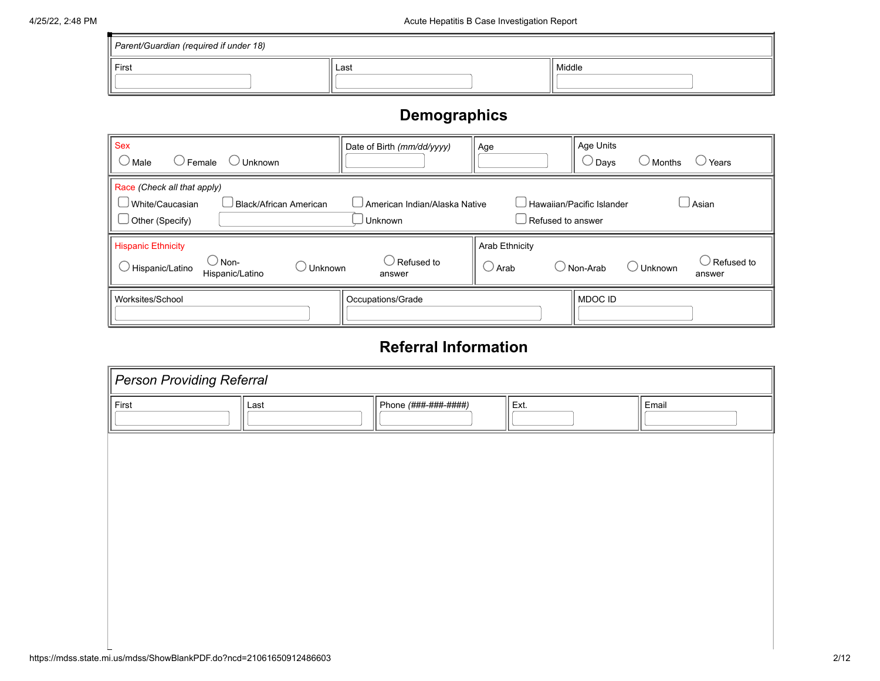| Parent/Guardian (required if under 18) |      |                     |  |  |  |
|----------------------------------------|------|---------------------|--|--|--|
| First                                  | Last | <sup>'</sup> Middle |  |  |  |

## **Demographics**

| <b>Sex</b><br>Female<br>Unknown<br>Male                                                                                                                                                            | Date of Birth (mm/dd/yyyy) | Age Units<br>Age<br>Days                        | Years<br>Months                        |  |  |
|----------------------------------------------------------------------------------------------------------------------------------------------------------------------------------------------------|----------------------------|-------------------------------------------------|----------------------------------------|--|--|
| Race (Check all that apply)<br>Black/African American<br>American Indian/Alaska Native<br>Hawaiian/Pacific Islander<br>Asian<br>White/Caucasian<br>Other (Specify)<br>Refused to answer<br>Unknown |                            |                                                 |                                        |  |  |
| <b>Hispanic Ethnicity</b><br>ノNon-<br>Hispanic/Latino<br>Unknown<br>Hispanic/Latino                                                                                                                | Refused to<br>answer       | Arab Ethnicity<br>Non-Arab<br><sup>)</sup> Arab | Refused to<br><b>Unknown</b><br>answer |  |  |
| Worksites/School                                                                                                                                                                                   | Occupations/Grade          | <b>MDOC ID</b>                                  |                                        |  |  |

#### **Referral Information**

| <b>Person Providing Referral</b> |      |                      |      |       |  |
|----------------------------------|------|----------------------|------|-------|--|
| First                            | Last | Phone (###-###-####) | Ext. | Email |  |
|                                  |      |                      |      |       |  |
|                                  |      |                      |      |       |  |
|                                  |      |                      |      |       |  |
|                                  |      |                      |      |       |  |
|                                  |      |                      |      |       |  |
|                                  |      |                      |      |       |  |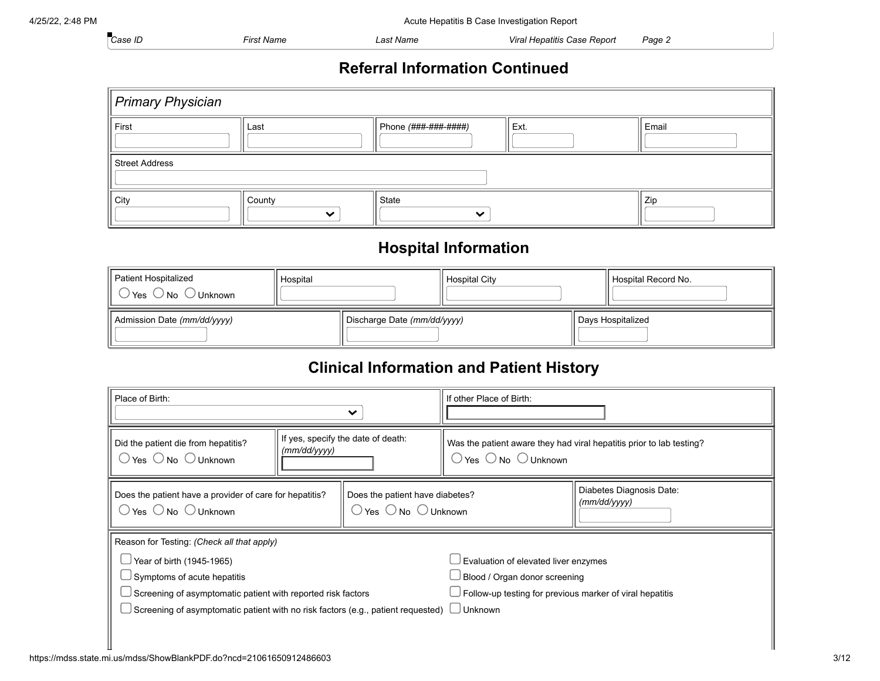| . .<br>.<br>Case<br>Nam.<br>ure.<br>vıral<br>Name<br>Hepatītīs<br>-11<br>$\sim$<br>,,, | Page.<br>$\sim$<br>Repon<br>wase |
|----------------------------------------------------------------------------------------|----------------------------------|
|----------------------------------------------------------------------------------------|----------------------------------|

#### **Referral Information Continued**

| $\parallel$ Primary Physician                                  |  |  |  |  |  |  |
|----------------------------------------------------------------|--|--|--|--|--|--|
| First<br>Phone (###-###-####)<br>Email<br>∣ Ext.<br>Last       |  |  |  |  |  |  |
| <b>Street Address</b>                                          |  |  |  |  |  |  |
| City<br>State<br>County<br>Zip<br>$\checkmark$<br>$\checkmark$ |  |  |  |  |  |  |

## **Hospital Information**

| Patient Hospitalized<br>$\supset$ Yes $\bigcirc$ No $\bigcirc$ Unknown | Hospital                    | <b>Hospital City</b> | Hospital Record No. |
|------------------------------------------------------------------------|-----------------------------|----------------------|---------------------|
| Admission Date (mm/dd/yyyy)                                            | Discharge Date (mm/dd/yyyy) |                      | Days Hospitalized   |

### **Clinical Information and Patient History**

| Place of Birth:<br>$\checkmark$                                                                                                                                                                |                                                                                                 | If other Place of Birth:                                                                                                |  |
|------------------------------------------------------------------------------------------------------------------------------------------------------------------------------------------------|-------------------------------------------------------------------------------------------------|-------------------------------------------------------------------------------------------------------------------------|--|
| If yes, specify the date of death:<br>Did the patient die from hepatitis?<br>(mm/dd/yyyy)<br>$\bigcirc$ Yes $\bigcirc$ No $\bigcirc$ Unknown                                                   |                                                                                                 | Was the patient aware they had viral hepatitis prior to lab testing?<br>$\bigcirc$ Yes $\bigcirc$ No $\bigcirc$ Unknown |  |
| Does the patient have a provider of care for hepatitis?<br>Does the patient have diabetes?<br>$\bigcirc$ Yes $\bigcirc$ No $\bigcirc$ Unknown<br>$\Theta$ Yes $\bigcirc$ No $\bigcirc$ Unknown |                                                                                                 | Diabetes Diagnosis Date:<br>(mm/dd/yyyy)                                                                                |  |
| Reason for Testing: (Check all that apply)<br>Year of birth (1945-1965)<br>Symptoms of acute hepatitis<br>Screening of asymptomatic patient with reported risk factors                         | Screening of asymptomatic patient with no risk factors (e.g., patient requested) $\Box$ Unknown | Blood / Organ donor screening                                                                                           |  |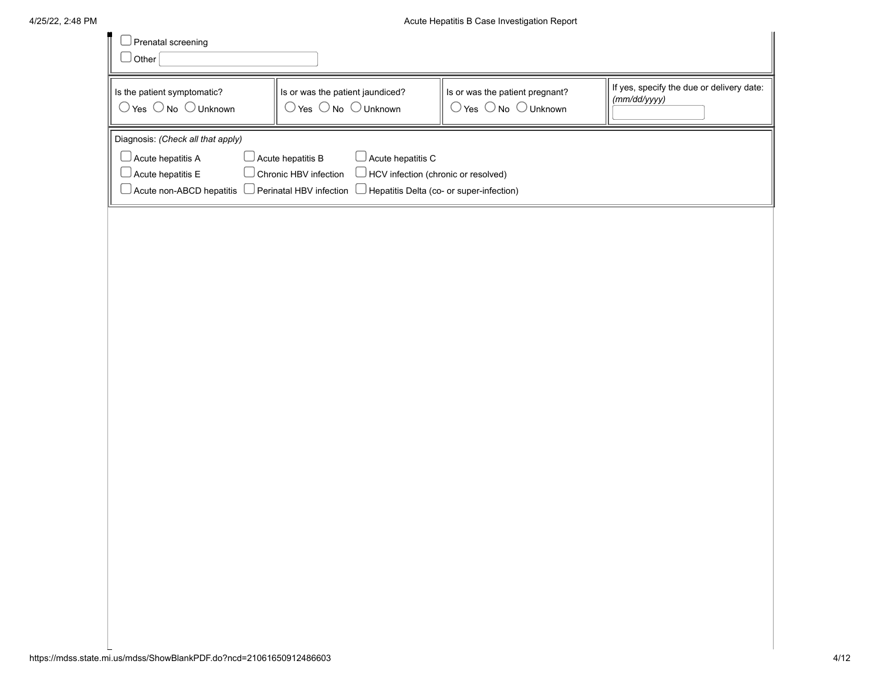| Prenatal screening<br>$\vert$ Other $\vert$                                                                                                                                                                                                                                                            |                                                                                     |                                                                                    |                                                           |  |  |  |
|--------------------------------------------------------------------------------------------------------------------------------------------------------------------------------------------------------------------------------------------------------------------------------------------------------|-------------------------------------------------------------------------------------|------------------------------------------------------------------------------------|-----------------------------------------------------------|--|--|--|
| Is the patient symptomatic?<br>$\bigcirc$ Yes $\bigcirc$ No $\bigcirc$ Unknown                                                                                                                                                                                                                         | Is or was the patient jaundiced?<br>$\bigcirc$ Yes $\bigcirc$ No $\bigcirc$ Unknown | Is or was the patient pregnant?<br>$\bigcirc$ Yes $\bigcirc$ No $\bigcirc$ Unknown | If yes, specify the due or delivery date:<br>(mm/dd/yyyy) |  |  |  |
| Diagnosis: (Check all that apply)<br>Acute hepatitis A<br>Acute hepatitis B<br>Acute hepatitis C<br>$\frac{1}{2}$ HCV infection (chronic or resolved)<br>Acute hepatitis E<br>Chronic HBV infection<br>Perinatal HBV infection<br>Acute non-ABCD hepatitis<br>Hepatitis Delta (co- or super-infection) |                                                                                     |                                                                                    |                                                           |  |  |  |
|                                                                                                                                                                                                                                                                                                        |                                                                                     |                                                                                    |                                                           |  |  |  |
|                                                                                                                                                                                                                                                                                                        |                                                                                     |                                                                                    |                                                           |  |  |  |
|                                                                                                                                                                                                                                                                                                        |                                                                                     |                                                                                    |                                                           |  |  |  |
|                                                                                                                                                                                                                                                                                                        |                                                                                     |                                                                                    |                                                           |  |  |  |
|                                                                                                                                                                                                                                                                                                        |                                                                                     |                                                                                    |                                                           |  |  |  |
|                                                                                                                                                                                                                                                                                                        |                                                                                     |                                                                                    |                                                           |  |  |  |
|                                                                                                                                                                                                                                                                                                        |                                                                                     |                                                                                    |                                                           |  |  |  |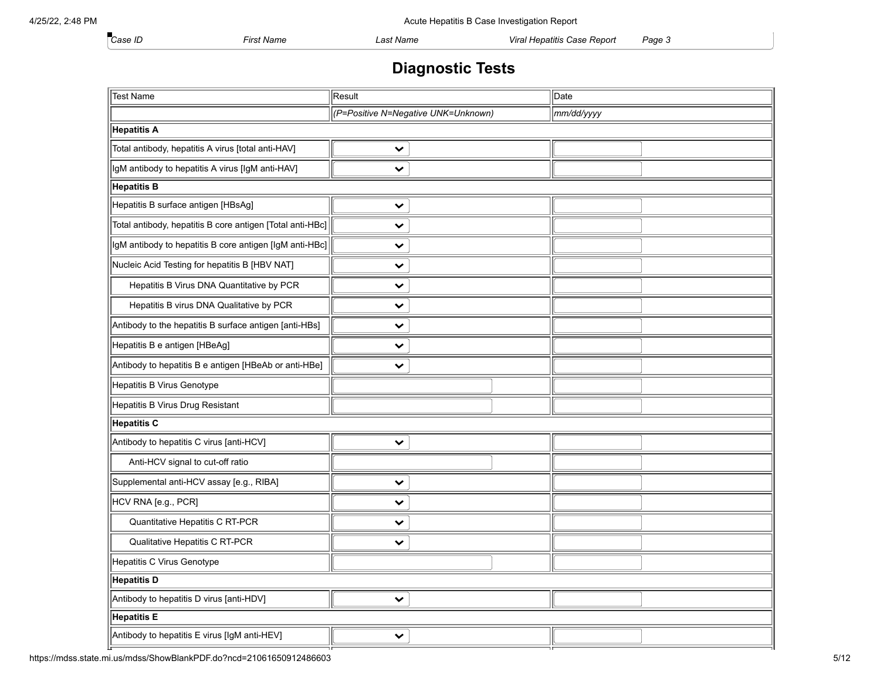| Case ID<br><sup>=</sup> irst Name | ∟ast Name | Viral Hepatitis Case Report | Page 3 |
|-----------------------------------|-----------|-----------------------------|--------|
|-----------------------------------|-----------|-----------------------------|--------|

## **Diagnostic Tests**

| <b>Test Name</b>                                          | Result       |                                     | <b>Date</b> |  |  |
|-----------------------------------------------------------|--------------|-------------------------------------|-------------|--|--|
|                                                           |              | (P=Positive N=Negative UNK=Unknown) | mm/dd/yyyy  |  |  |
| Hepatitis A                                               |              |                                     |             |  |  |
| Total antibody, hepatitis A virus [total anti-HAV]        | $\checkmark$ |                                     |             |  |  |
| IgM antibody to hepatitis A virus [IgM anti-HAV]          | $\checkmark$ |                                     |             |  |  |
| Hepatitis B                                               |              |                                     |             |  |  |
| Hepatitis B surface antigen [HBsAg]                       | $\checkmark$ |                                     |             |  |  |
| Total antibody, hepatitis B core antigen [Total anti-HBc] | $\checkmark$ |                                     |             |  |  |
| IgM antibody to hepatitis B core antigen [IgM anti-HBc]   | $\checkmark$ |                                     |             |  |  |
| Nucleic Acid Testing for hepatitis B [HBV NAT]            | $\checkmark$ |                                     |             |  |  |
| Hepatitis B Virus DNA Quantitative by PCR                 | $\checkmark$ |                                     |             |  |  |
| Hepatitis B virus DNA Qualitative by PCR                  | $\checkmark$ |                                     |             |  |  |
| Antibody to the hepatitis B surface antigen [anti-HBs]    | $\checkmark$ |                                     |             |  |  |
| Hepatitis B e antigen [HBeAg]                             | $\checkmark$ |                                     |             |  |  |
| Antibody to hepatitis B e antigen [HBeAb or anti-HBe]     | $\checkmark$ |                                     |             |  |  |
| Hepatitis B Virus Genotype                                |              |                                     |             |  |  |
| Hepatitis B Virus Drug Resistant                          |              |                                     |             |  |  |
| <b>Hepatitis C</b>                                        |              |                                     |             |  |  |
| Antibody to hepatitis C virus [anti-HCV]                  | $\checkmark$ |                                     |             |  |  |
| Anti-HCV signal to cut-off ratio                          |              |                                     |             |  |  |
| Supplemental anti-HCV assay [e.g., RIBA]                  | $\checkmark$ |                                     |             |  |  |
| HCV RNA [e.g., PCR]                                       | $\checkmark$ |                                     |             |  |  |
| Quantitative Hepatitis C RT-PCR                           | $\checkmark$ |                                     |             |  |  |
| Qualitative Hepatitis C RT-PCR                            | $\checkmark$ |                                     |             |  |  |
| Hepatitis C Virus Genotype                                |              |                                     |             |  |  |
| <b>Hepatitis D</b>                                        |              |                                     |             |  |  |
| Antibody to hepatitis D virus [anti-HDV]                  | $\checkmark$ |                                     |             |  |  |
| <b>Hepatitis E</b>                                        |              |                                     |             |  |  |
| Antibody to hepatitis E virus [IgM anti-HEV]              | $\checkmark$ |                                     |             |  |  |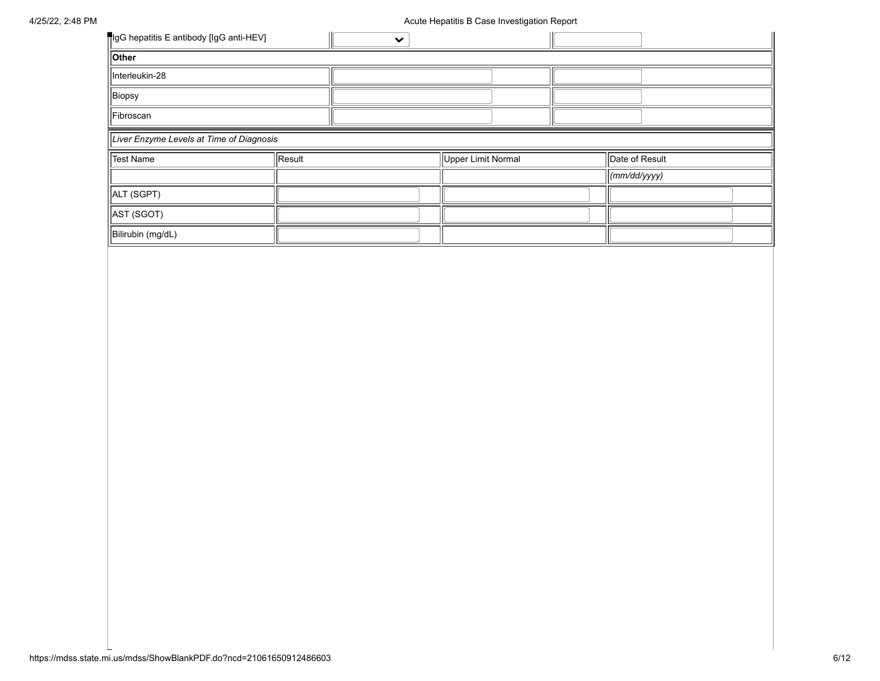| ¶lgG hepatitis E antibody [IgG anti-HEV] |                    | $\checkmark$ |  |                    |  |                |
|------------------------------------------|--------------------|--------------|--|--------------------|--|----------------|
| Other                                    |                    |              |  |                    |  |                |
| Interleukin-28                           |                    |              |  |                    |  |                |
| ∣Biopsy                                  |                    |              |  |                    |  |                |
| Fibroscan                                |                    |              |  |                    |  |                |
| Liver Enzyme Levels at Time of Diagnosis |                    |              |  |                    |  |                |
| Test Name                                | $\parallel$ Result |              |  | Upper Limit Normal |  | Date of Result |
|                                          |                    |              |  |                    |  | (mm/dd/yyyy)   |
| ALT (SGPT)                               |                    |              |  |                    |  |                |
| AST (SGOT)                               |                    |              |  |                    |  |                |
|                                          |                    |              |  |                    |  |                |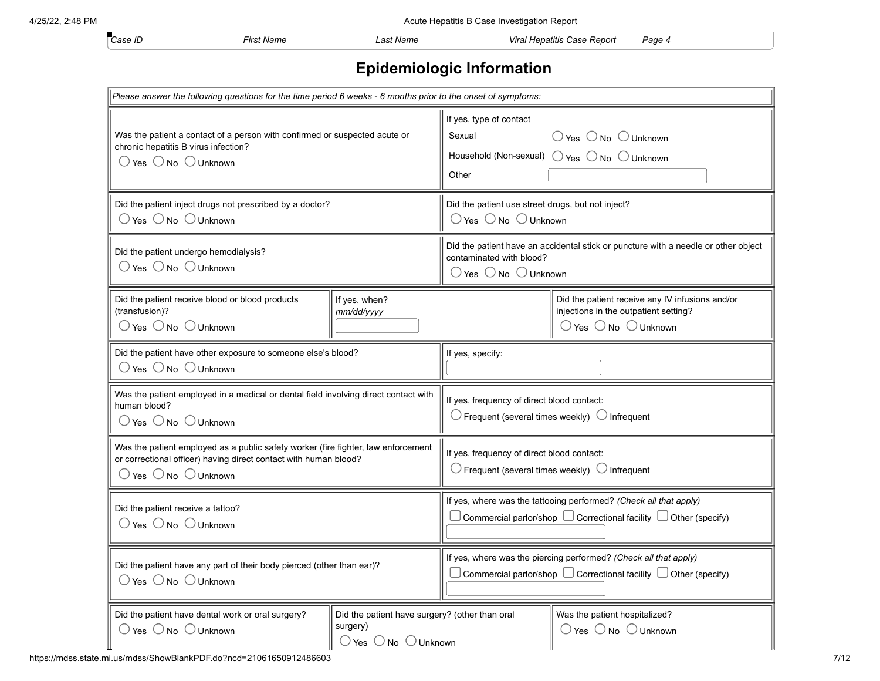| Case ID | Name<br>-ire<br>ن س | ast Name<br>50ء۔ | Viral Hepatitis Case Report | Paqe 4 |
|---------|---------------------|------------------|-----------------------------|--------|
|---------|---------------------|------------------|-----------------------------|--------|

## **Epidemiologic Information**

| Please answer the following questions for the time period 6 weeks - 6 months prior to the onset of symptoms:                                                                                                          |                             |                                                                                                                                                             |                                                                                                                                             |  |  |
|-----------------------------------------------------------------------------------------------------------------------------------------------------------------------------------------------------------------------|-----------------------------|-------------------------------------------------------------------------------------------------------------------------------------------------------------|---------------------------------------------------------------------------------------------------------------------------------------------|--|--|
| Was the patient a contact of a person with confirmed or suspected acute or<br>chronic hepatitis B virus infection?<br>$\bigcirc$ Yes $\bigcirc$ No $\bigcirc$ Unknown                                                 |                             | If yes, type of contact<br>Sexual<br>Other                                                                                                                  | $\bigcirc$ Yes $\bigcirc$ No $\bigcirc$ Unknown<br>Household (Non-sexual) ○ Yes ○ No ○ Unknown                                              |  |  |
| Did the patient inject drugs not prescribed by a doctor?<br>$\bigcirc$ Yes $\bigcirc$ No $\bigcirc$ Unknown                                                                                                           |                             | Did the patient use street drugs, but not inject?<br>$\bigcirc$ Yes $\bigcirc$ No $\bigcirc$ Unknown                                                        |                                                                                                                                             |  |  |
| Did the patient undergo hemodialysis?<br>$\bigcirc$ Yes $\bigcirc$ No $\bigcirc$ Unknown                                                                                                                              |                             | contaminated with blood?<br>$\bigcirc$ Yes $\bigcirc$ No $\bigcirc$ Unknown                                                                                 | Did the patient have an accidental stick or puncture with a needle or other object                                                          |  |  |
| Did the patient receive blood or blood products<br>(transfusion)?<br>$\bigcirc$ Yes $\bigcirc$ No $\bigcirc$ Unknown                                                                                                  | If yes, when?<br>mm/dd/yyyy |                                                                                                                                                             | Did the patient receive any IV infusions and/or<br>injections in the outpatient setting?<br>$\bigcirc$ Yes $\bigcirc$ No $\bigcirc$ Unknown |  |  |
| Did the patient have other exposure to someone else's blood?<br>$\bigcirc$ Yes $\bigcirc$ No $\bigcirc$ Unknown                                                                                                       |                             | If yes, specify:                                                                                                                                            |                                                                                                                                             |  |  |
| Was the patient employed in a medical or dental field involving direct contact with<br>human blood?<br>$\bigcirc$ Yes $\bigcirc$ No $\bigcirc$ Unknown                                                                |                             | If yes, frequency of direct blood contact:<br>$\bigcirc$ Frequent (several times weekly) $\bigcirc$ Infrequent                                              |                                                                                                                                             |  |  |
| Was the patient employed as a public safety worker (fire fighter, law enforcement<br>or correctional officer) having direct contact with human blood?<br>$\bigcirc$ Yes $\bigcirc$ No $\bigcirc$ Unknown              |                             | If yes, frequency of direct blood contact:<br>$\bigcirc$ Frequent (several times weekly) $\bigcirc$ Infrequent                                              |                                                                                                                                             |  |  |
| Did the patient receive a tattoo?<br>$\bigcirc$ Yes $\bigcirc$ No $\bigcirc$ Unknown                                                                                                                                  |                             | If yes, where was the tattooing performed? (Check all that apply)<br>$\Box$ Commercial parlor/shop $\,\Box$ Correctional facility $\,\Box$ Other (specify). |                                                                                                                                             |  |  |
| Did the patient have any part of their body pierced (other than ear)?<br>$\bigcirc$ Yes $\bigcirc$ No $\bigcirc$ Unknown                                                                                              |                             | If yes, where was the piercing performed? (Check all that apply)<br>$\Box$ Commercial parlor/shop $\,\Box$ Correctional facility $\,\Box$ Other (specify)   |                                                                                                                                             |  |  |
| Did the patient have dental work or oral surgery?<br>Did the patient have surgery? (other than oral<br>surgery)<br>$\bigcirc$ Yes $\bigcirc$ No $\bigcirc$ Unknown<br>$\bigcirc$ Yes $\bigcirc$ No $\bigcirc$ Unknown |                             |                                                                                                                                                             | Was the patient hospitalized?<br>$\bigcirc$ Yes $\bigcirc$ No $\bigcirc$ Unknown                                                            |  |  |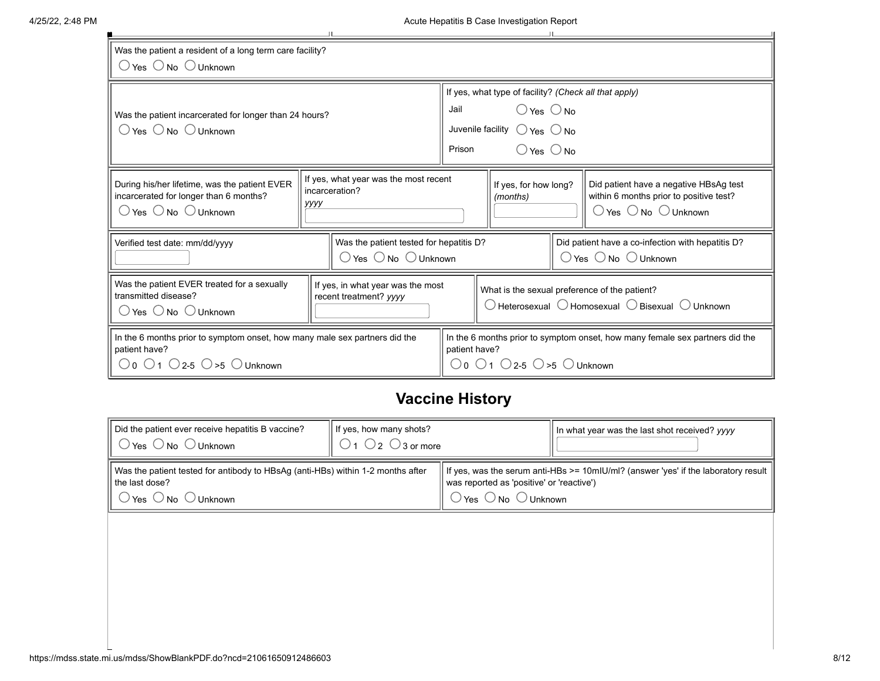| Was the patient a resident of a long term care facility?<br>$\bigcirc$ Yes $\bigcirc$ No $\bigcirc$ Unknown                                                              |                                                                                                              |  |                                                                                                                                                                                           |                                                                                                                                      |  |                                                                                                      |
|--------------------------------------------------------------------------------------------------------------------------------------------------------------------------|--------------------------------------------------------------------------------------------------------------|--|-------------------------------------------------------------------------------------------------------------------------------------------------------------------------------------------|--------------------------------------------------------------------------------------------------------------------------------------|--|------------------------------------------------------------------------------------------------------|
| Was the patient incarcerated for longer than 24 hours?<br>$\bigcirc$ Yes $\bigcirc$ No $\bigcirc$ Unknown                                                                |                                                                                                              |  | If yes, what type of facility? (Check all that apply)<br>$\bigcirc$ Yes $\bigcirc$ No<br>Jail<br>Juvenile facility $\bigcirc$ Yes $\bigcirc$ No<br>$\bigcirc$ Yes $\bigcirc$ No<br>Prison |                                                                                                                                      |  |                                                                                                      |
| During his/her lifetime, was the patient EVER<br>incarcerated for longer than 6 months?<br>$\bigcirc$ Yes $\bigcirc$ No $\bigcirc$ Unknown                               | If yes, what year was the most recent<br>If yes, for how long?<br>incarceration?<br>(months)<br>уууу         |  |                                                                                                                                                                                           | Did patient have a negative HBsAg test<br>within 6 months prior to positive test?<br>$\bigcirc$ Yes $\bigcirc$ No $\bigcirc$ Unknown |  |                                                                                                      |
| Was the patient tested for hepatitis D?<br>Verified test date: mm/dd/yyyy<br>$\bigcirc$ Yes $\bigcirc$ No $\bigcirc$ Unknown                                             |                                                                                                              |  |                                                                                                                                                                                           |                                                                                                                                      |  | Did patient have a co-infection with hepatitis D?<br>$\bigcirc$ Yes $\bigcirc$ No $\bigcirc$ Unknown |
| Was the patient EVER treated for a sexually<br>transmitted disease?<br>$\bigcirc$ Yes $\bigcirc$ No $\bigcirc$ Unknown                                                   | If yes, in what year was the most<br>What is the sexual preference of the patient?<br>recent treatment? yyyy |  |                                                                                                                                                                                           | $\bigcirc$ Heterosexual $\bigcirc$ Homosexual $\bigcirc$ Bisexual $\bigcirc$ Unknown                                                 |  |                                                                                                      |
| In the 6 months prior to symptom onset, how many male sex partners did the<br>patient have?<br>$\bigcirc$ 0 $\bigcirc$ 1 $\bigcirc$ 2-5 $\bigcirc$ >5 $\bigcirc$ Unknown |                                                                                                              |  | patient have?                                                                                                                                                                             | $\bigcirc$ 0 $\bigcirc$ 1 $\bigcirc$ 2-5 $\bigcirc$ >5 $\bigcirc$ Unknown                                                            |  | In the 6 months prior to symptom onset, how many female sex partners did the                         |

## **Vaccine History**

| Did the patient ever receive hepatitis B vaccine?<br>$\bigcirc$ Yes $\bigcirc$ No $\bigcirc$ Unknown                                                 | If yes, how many shots?<br>$01$ $\bigcirc$ 2 $\bigcirc$ 3 or more |                                                                                                                                                                                                | In what year was the last shot received? yyyy |
|------------------------------------------------------------------------------------------------------------------------------------------------------|-------------------------------------------------------------------|------------------------------------------------------------------------------------------------------------------------------------------------------------------------------------------------|-----------------------------------------------|
| Was the patient tested for antibody to HBsAg (anti-HBs) within 1-2 months after<br>the last dose?<br>$\bigcirc$ Yes $\bigcirc$ No $\bigcirc$ Unknown |                                                                   | If yes, was the serum anti-HBs >= 10mIU/mI? (answer 'yes' if the laboratory result $\parallel$<br>was reported as 'positive' or 'reactive')<br>$\bigcirc$ Yes $\bigcirc$ No $\bigcirc$ Unknown |                                               |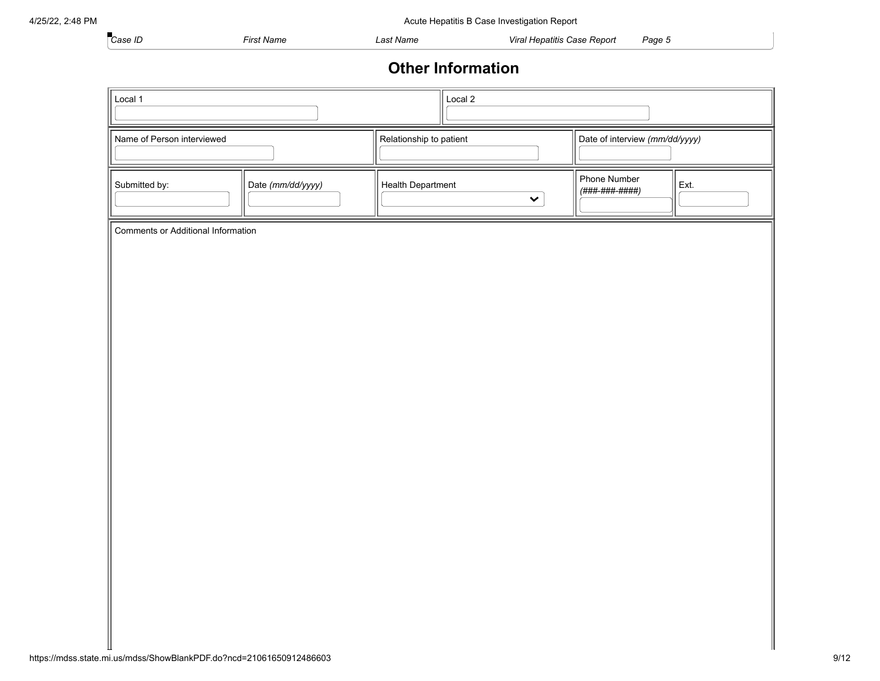### **Other Information**

| Local 1                            |                   |                          | Local 2 |              |                                |      |
|------------------------------------|-------------------|--------------------------|---------|--------------|--------------------------------|------|
| Name of Person interviewed         |                   | Relationship to patient  |         |              | Date of interview (mm/dd/yyyy) |      |
| Submitted by:                      | Date (mm/dd/yyyy) | <b>Health Department</b> |         | $\checkmark$ | Phone Number<br>(###-###-####) | Ext. |
| Comments or Additional Information |                   |                          |         |              |                                |      |
|                                    |                   |                          |         |              |                                |      |
|                                    |                   |                          |         |              |                                |      |
|                                    |                   |                          |         |              |                                |      |
|                                    |                   |                          |         |              |                                |      |
|                                    |                   |                          |         |              |                                |      |
|                                    |                   |                          |         |              |                                |      |
|                                    |                   |                          |         |              |                                |      |
|                                    |                   |                          |         |              |                                |      |
|                                    |                   |                          |         |              |                                |      |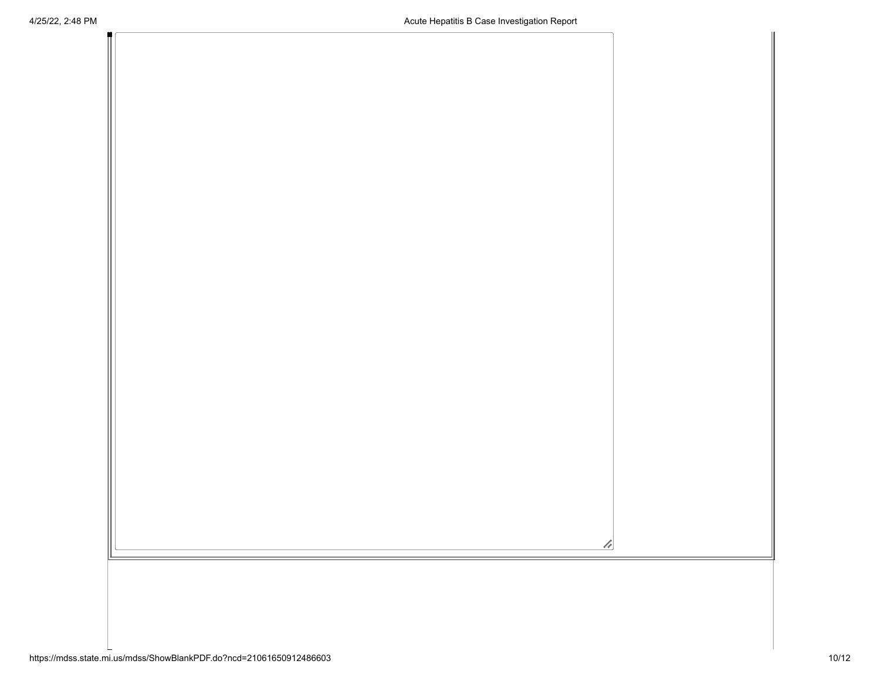$\overline{\mathscr{U}}$ 

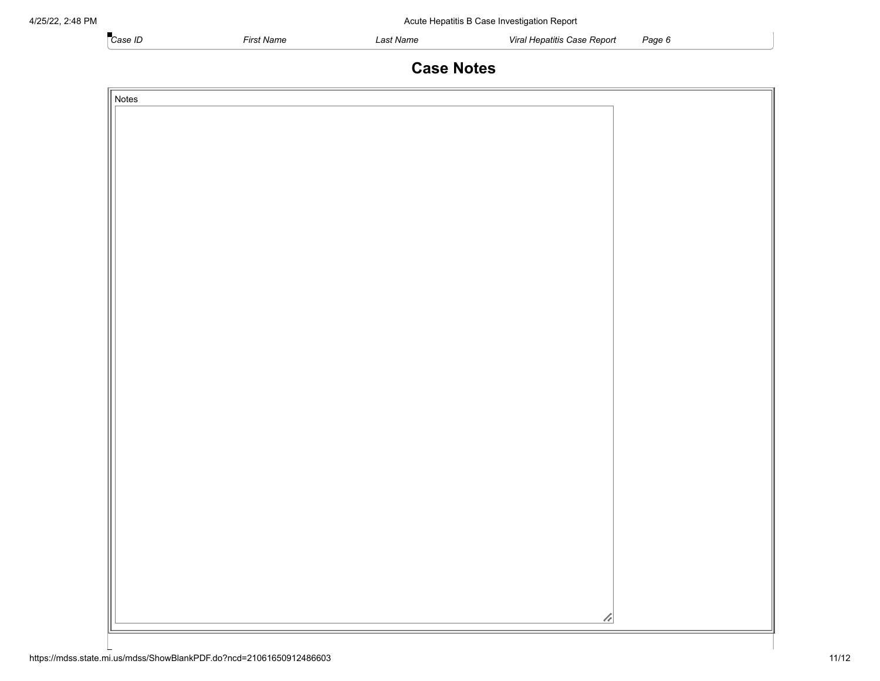4/25/22, 2:48 PM Acute Hepatitis B Case Investigation Report

### **Case Notes**

| Notes |   |
|-------|---|
|       |   |
|       |   |
|       |   |
|       |   |
|       |   |
|       |   |
|       |   |
|       |   |
|       |   |
|       |   |
|       |   |
|       |   |
|       |   |
|       |   |
|       |   |
|       |   |
|       |   |
|       |   |
|       |   |
|       |   |
|       |   |
|       |   |
|       |   |
|       |   |
|       |   |
|       |   |
|       |   |
|       |   |
|       |   |
|       |   |
|       |   |
|       | U |
|       |   |
|       |   |